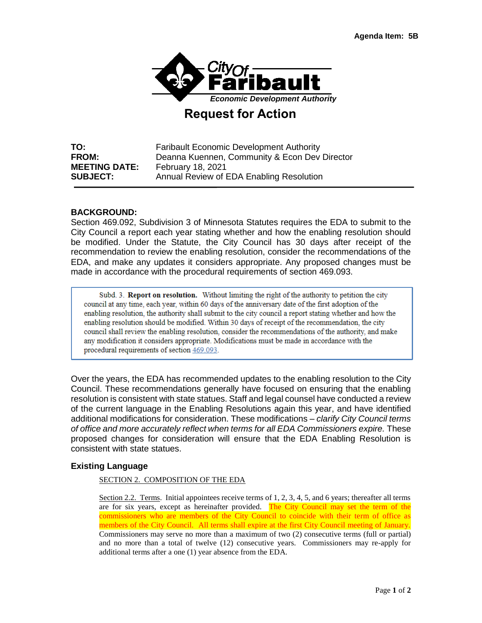

# **Request for Action**

**TO:** Faribault Economic Development Authority **FROM:** Deanna Kuennen, Community & Econ Dev Director **MEETING DATE:** February 18, 2021 **SUBJECT:** Annual Review of EDA Enabling Resolution

### **BACKGROUND:**

Section 469.092, Subdivision 3 of Minnesota Statutes requires the EDA to submit to the City Council a report each year stating whether and how the enabling resolution should be modified. Under the Statute, the City Council has 30 days after receipt of the recommendation to review the enabling resolution, consider the recommendations of the EDA, and make any updates it considers appropriate. Any proposed changes must be made in accordance with the procedural requirements of section 469.093.

Subd. 3. Report on resolution. Without limiting the right of the authority to petition the city council at any time, each year, within 60 days of the anniversary date of the first adoption of the enabling resolution, the authority shall submit to the city council a report stating whether and how the enabling resolution should be modified. Within 30 days of receipt of the recommendation, the city council shall review the enabling resolution, consider the recommendations of the authority, and make any modification it considers appropriate. Modifications must be made in accordance with the procedural requirements of section 469.093.

Over the years, the EDA has recommended updates to the enabling resolution to the City Council. These recommendations generally have focused on ensuring that the enabling resolution is consistent with state statues. Staff and legal counsel have conducted a review of the current language in the Enabling Resolutions again this year, and have identified additional modifications for consideration. These modifications – *clarify City Council terms of office and more accurately reflect when terms for all EDA Commissioners expire.* These proposed changes for consideration will ensure that the EDA Enabling Resolution is consistent with state statues.

### **Existing Language**

#### SECTION 2. COMPOSITION OF THE EDA

Section 2.2. Terms. Initial appointees receive terms of 1, 2, 3, 4, 5, and 6 years; thereafter all terms are for six years, except as hereinafter provided. The City Council may set the term of the commissioners who are members of the City Council to coincide with their term of office as members of the City Council. All terms shall expire at the first City Council meeting of January. Commissioners may serve no more than a maximum of two (2) consecutive terms (full or partial) and no more than a total of twelve (12) consecutive years. Commissioners may re-apply for additional terms after a one (1) year absence from the EDA.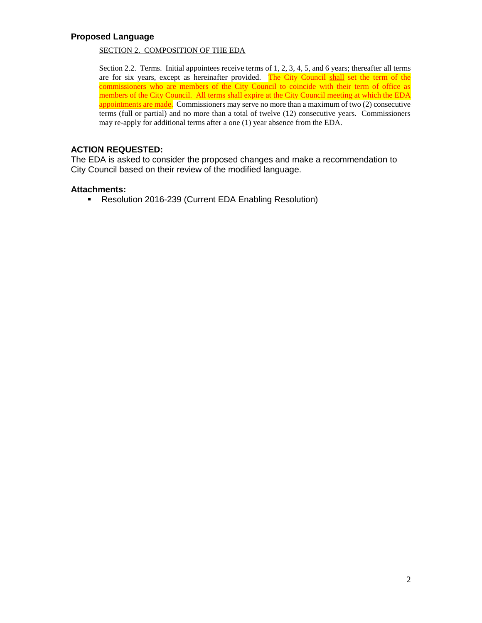### **Proposed Language**

#### SECTION 2. COMPOSITION OF THE EDA

Section 2.2. Terms. Initial appointees receive terms of 1, 2, 3, 4, 5, and 6 years; thereafter all terms are for six years, except as hereinafter provided. The City Council shall set the term of the commissioners who are members of the City Council to coincide with their term of office as members of the City Council. All terms shall expire at the City Council meeting at which the EDA appointments are made. Commissioners may serve no more than a maximum of two (2) consecutive terms (full or partial) and no more than a total of twelve (12) consecutive years. Commissioners may re-apply for additional terms after a one (1) year absence from the EDA.

### **ACTION REQUESTED:**

The EDA is asked to consider the proposed changes and make a recommendation to City Council based on their review of the modified language.

#### **Attachments:**

Resolution 2016-239 (Current EDA Enabling Resolution)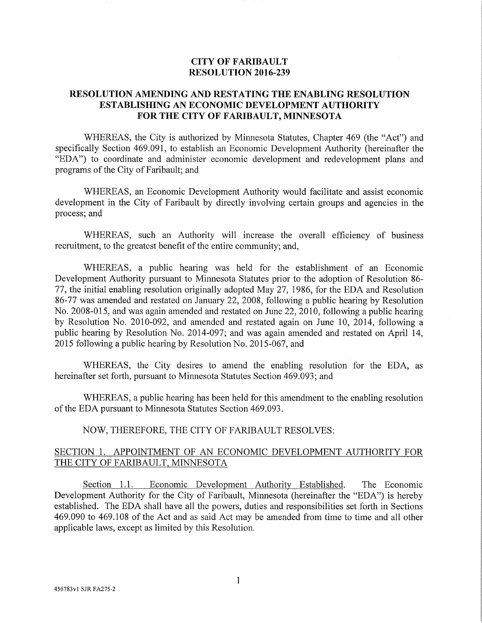### **CITY OF FARIBAULT RESOLUTION 2016-239**

### **RESOLUTION AMENDING AND RESTATING THE ENABLING RESOLUTION ESTABLISHING AN ECONOMIC DEVELOPMENT AUTHORITY** FOR THE CITY OF FARIBAULT, MINNESOTA

WHEREAS, the City is authorized by Minnesota Statutes, Chapter 469 (the "Act") and specifically Section 469.091, to establish an Economic Development Authority (hereinafter the "EDA") to coordinate and administer economic development and redevelopment plans and programs of the City of Faribault; and

WHEREAS, an Economic Development Authority would facilitate and assist economic development in the City of Faribault by directly involving certain groups and agencies in the process; and

WHEREAS, such an Authority will increase the overall efficiency of business recruitment, to the greatest benefit of the entire community; and,

WHEREAS, a public hearing was held for the establishment of an Economic Development Authority pursuant to Minnesota Statutes prior to the adoption of Resolution 86-77, the initial enabling resolution originally adopted May 27, 1986, for the EDA and Resolution 86-77 was amended and restated on January 22, 2008, following a public hearing by Resolution No. 2008-015, and was again amended and restated on June 22, 2010, following a public hearing by Resolution No. 2010-092, and amended and restated again on June 10, 2014, following a public hearing by Resolution No. 2014-097; and was again amended and restated on April 14, 2015 following a public hearing by Resolution No. 2015-067, and

WHEREAS, the City desires to amend the enabling resolution for the EDA, as hereinafter set forth, pursuant to Minnesota Statutes Section 469.093; and

WHEREAS, a public hearing has been held for this amendment to the enabling resolution of the EDA pursuant to Minnesota Statutes Section 469.093.

## NOW, THEREFORE, THE CITY OF FARIBAULT RESOLVES:

### SECTION 1. APPOINTMENT OF AN ECONOMIC DEVELOPMENT AUTHORITY FOR THE CITY OF FARIBAULT, MINNESOTA

Section 1.1. Economic Development Authority Established. The Economic Development Authority for the City of Faribault, Minnesota (hereinafter the "EDA") is hereby established. The EDA shall have all the powers, duties and responsibilities set forth in Sections 469.090 to 469.108 of the Act and as said Act may be amended from time to time and all other applicable laws, except as limited by this Resolution.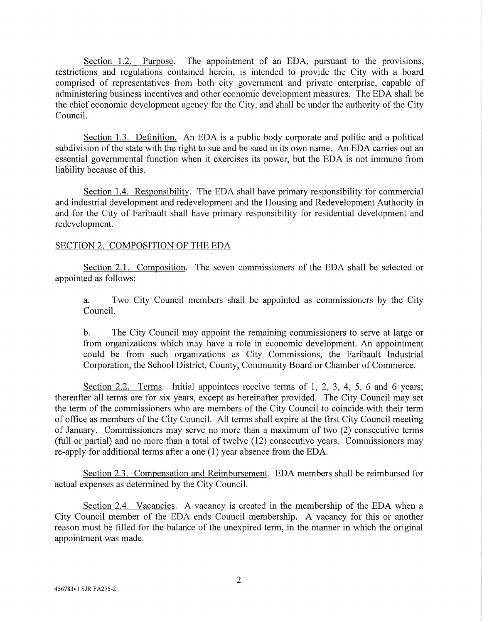Section 1.2. Purpose. The appointment of an EDA, pursuant to the provisions, restrictions and regulations contained herein, is intended to provide the City with a board comprised of representatives from both city government and private enterprise, capable of administering business incentives and other economic development measures. The EDA shall be the chief economic development agency for the City, and shall be under the authority of the City Council

Section 1.3. Definition. An EDA is a public body corporate and politic and a political subdivision of the state with the right to sue and be sued in its own name. An EDA carries out an essential governmental function when it exercises its power, but the EDA is not immune from liability because of this.

Section 1.4. Responsibility. The EDA shall have primary responsibility for commercial and industrial development and redevelopment and the Housing and Redevelopment Authority in and for the City of Faribault shall have primary responsibility for residential development and redevelopment.

### SECTION 2. COMPOSITION OF THE EDA

Section 2.1. Composition. The seven commissioners of the EDA shall be selected or appointed as follows:

Two City Council members shall be appointed as commissioners by the City a. Council.

 $\mathbf{b}$ . The City Council may appoint the remaining commissioners to serve at large or from organizations which may have a role in economic development. An appointment could be from such organizations as City Commissions, the Faribault Industrial Corporation, the School District, County, Community Board or Chamber of Commerce.

Section 2.2. Terms. Initial appointees receive terms of 1, 2, 3, 4, 5, 6 and 6 years; thereafter all terms are for six years, except as hereinafter provided. The City Council may set the term of the commissioners who are members of the City Council to coincide with their term of office as members of the City Council. All terms shall expire at the first City Council meeting of January. Commissioners may serve no more than a maximum of two (2) consecutive terms (full or partial) and no more than a total of twelve (12) consecutive years. Commissioners may re-apply for additional terms after a one (1) year absence from the EDA.

Section 2.3. Compensation and Reimbursement. EDA members shall be reimbursed for actual expenses as determined by the City Council.

Section 2.4. Vacancies. A vacancy is created in the membership of the EDA when a City Council member of the EDA ends Council membership. A vacancy for this or another reason must be filled for the balance of the unexpired term, in the manner in which the original appointment was made.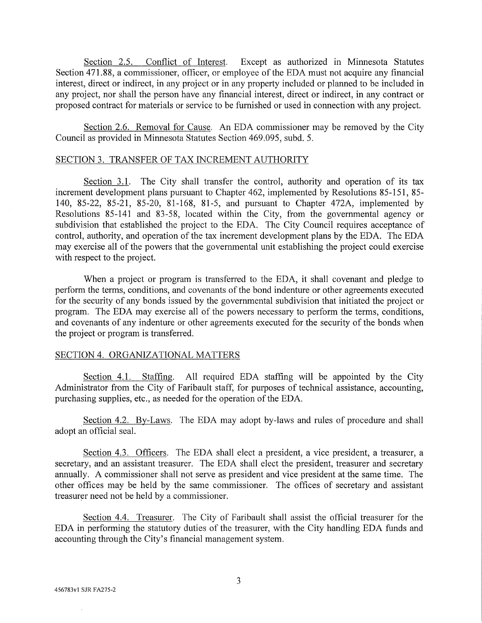Section 2.5. Conflict of Interest. Except as authorized in Minnesota Statutes Section 471.88, a commissioner, officer, or employee of the EDA must not acquire any financial interest, direct or indirect, in any project or in any property included or planned to be included in any project, nor shall the person have any financial interest, direct or indirect, in any contract or proposed contract for materials or service to be furnished or used in connection with any project.

Section 2.6. Removal for Cause. An EDA commissioner may be removed by the City Council as provided in Minnesota Statutes Section 469.095, subd. 5.

#### SECTION 3. TRANSFER OF TAX INCREMENT AUTHORITY

Section 3.1. The City shall transfer the control, authority and operation of its tax increment development plans pursuant to Chapter 462, implemented by Resolutions 85-151, 85-140, 85-22, 85-21, 85-20, 81-168, 81-5, and pursuant to Chapter 472A, implemented by Resolutions 85-141 and 83-58, located within the City, from the governmental agency or subdivision that established the project to the EDA. The City Council requires acceptance of control, authority, and operation of the tax increment development plans by the EDA. The EDA may exercise all of the powers that the governmental unit establishing the project could exercise with respect to the project.

When a project or program is transferred to the EDA, it shall covenant and pledge to perform the terms, conditions, and covenants of the bond indenture or other agreements executed for the security of any bonds issued by the governmental subdivision that initiated the project or program. The EDA may exercise all of the powers necessary to perform the terms, conditions, and covenants of any indenture or other agreements executed for the security of the bonds when the project or program is transferred.

### SECTION 4. ORGANIZATIONAL MATTERS

Section 4.1. Staffing. All required EDA staffing will be appointed by the City Administrator from the City of Faribault staff, for purposes of technical assistance, accounting, purchasing supplies, etc., as needed for the operation of the EDA.

Section 4.2. By-Laws. The EDA may adopt by-laws and rules of procedure and shall adopt an official seal.

Section 4.3. Officers. The EDA shall elect a president, a vice president, a treasurer, a secretary, and an assistant treasurer. The EDA shall elect the president, treasurer and secretary annually. A commissioner shall not serve as president and vice president at the same time. The other offices may be held by the same commissioner. The offices of secretary and assistant treasurer need not be held by a commissioner.

Section 4.4. Treasurer. The City of Faribault shall assist the official treasurer for the EDA in performing the statutory duties of the treasurer, with the City handling EDA funds and accounting through the City's financial management system.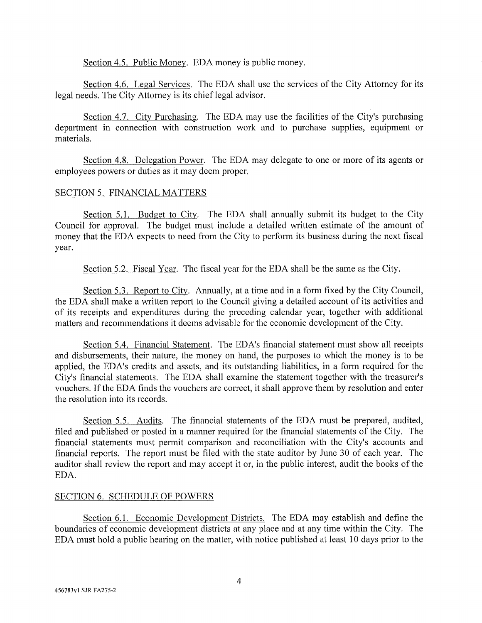Section 4.5. Public Money. EDA money is public money.

Section 4.6. Legal Services. The EDA shall use the services of the City Attorney for its legal needs. The City Attorney is its chief legal advisor.

Section 4.7. City Purchasing. The EDA may use the facilities of the City's purchasing department in connection with construction work and to purchase supplies, equipment or materials.

Section 4.8. Delegation Power. The EDA may delegate to one or more of its agents or employees powers or duties as it may deem proper.

### **SECTION 5. FINANCIAL MATTERS**

Section 5.1. Budget to City. The EDA shall annually submit its budget to the City Council for approval. The budget must include a detailed written estimate of the amount of money that the EDA expects to need from the City to perform its business during the next fiscal year.

Section 5.2. Fiscal Year. The fiscal year for the EDA shall be the same as the City.

Section 5.3. Report to City. Annually, at a time and in a form fixed by the City Council, the EDA shall make a written report to the Council giving a detailed account of its activities and of its receipts and expenditures during the preceding calendar year, together with additional matters and recommendations it deems advisable for the economic development of the City.

Section 5.4. Financial Statement. The EDA's financial statement must show all receipts and disbursements, their nature, the money on hand, the purposes to which the money is to be applied, the EDA's credits and assets, and its outstanding liabilities, in a form required for the City's financial statements. The EDA shall examine the statement together with the treasurer's vouchers. If the EDA finds the vouchers are correct, it shall approve them by resolution and enter the resolution into its records.

Section 5.5. Audits. The financial statements of the EDA must be prepared, audited, filed and published or posted in a manner required for the financial statements of the City. The financial statements must permit comparison and reconciliation with the City's accounts and financial reports. The report must be filed with the state auditor by June 30 of each year. The auditor shall review the report and may accept it or, in the public interest, audit the books of the EDA.

### SECTION 6. SCHEDULE OF POWERS

Section 6.1. Economic Development Districts. The EDA may establish and define the boundaries of economic development districts at any place and at any time within the City. The EDA must hold a public hearing on the matter, with notice published at least 10 days prior to the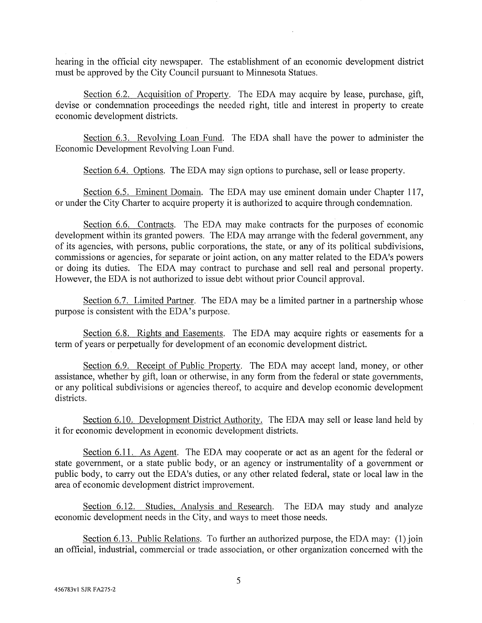hearing in the official city newspaper. The establishment of an economic development district must be approved by the City Council pursuant to Minnesota Statues.

Section 6.2. Acquisition of Property. The EDA may acquire by lease, purchase, gift, devise or condemnation proceedings the needed right, title and interest in property to create economic development districts.

Section 6.3. Revolving Loan Fund. The EDA shall have the power to administer the Economic Development Revolving Loan Fund.

Section 6.4. Options. The EDA may sign options to purchase, sell or lease property.

Section 6.5. Eminent Domain. The EDA may use eminent domain under Chapter 117, or under the City Charter to acquire property it is authorized to acquire through condemnation.

Section 6.6. Contracts. The EDA may make contracts for the purposes of economic development within its granted powers. The EDA may arrange with the federal government, any of its agencies, with persons, public corporations, the state, or any of its political subdivisions, commissions or agencies, for separate or joint action, on any matter related to the EDA's powers or doing its duties. The EDA may contract to purchase and sell real and personal property. However, the EDA is not authorized to issue debt without prior Council approval.

Section 6.7. Limited Partner. The EDA may be a limited partner in a partnership whose purpose is consistent with the EDA's purpose.

Section 6.8. Rights and Easements. The EDA may acquire rights or easements for a term of years or perpetually for development of an economic development district.

Section 6.9. Receipt of Public Property. The EDA may accept land, money, or other assistance, whether by gift, loan or otherwise, in any form from the federal or state governments, or any political subdivisions or agencies thereof, to acquire and develop economic development districts.

Section 6.10. Development District Authority. The EDA may sell or lease land held by it for economic development in economic development districts.

Section 6.11. As Agent. The EDA may cooperate or act as an agent for the federal or state government, or a state public body, or an agency or instrumentality of a government or public body, to carry out the EDA's duties, or any other related federal, state or local law in the area of economic development district improvement.

Section 6.12. Studies, Analysis and Research. The EDA may study and analyze economic development needs in the City, and ways to meet those needs.

Section 6.13. Public Relations. To further an authorized purpose, the EDA may: (1) join an official, industrial, commercial or trade association, or other organization concerned with the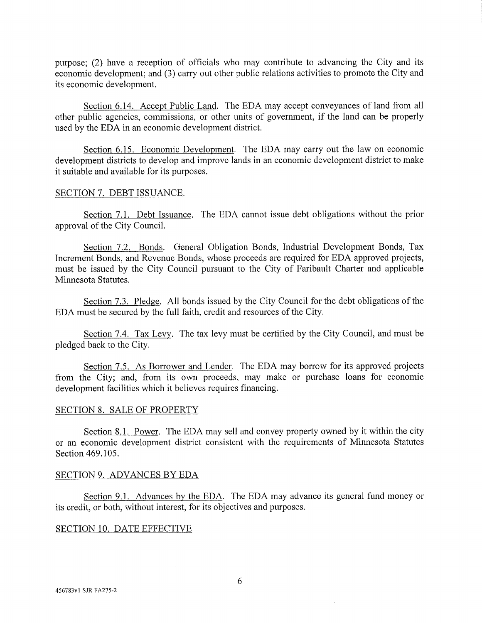purpose; (2) have a reception of officials who may contribute to advancing the City and its economic development; and (3) carry out other public relations activities to promote the City and its economic development.

Section 6.14. Accept Public Land. The EDA may accept conveyances of land from all other public agencies, commissions, or other units of government, if the land can be properly used by the EDA in an economic development district.

Section 6.15. Economic Development. The EDA may carry out the law on economic development districts to develop and improve lands in an economic development district to make it suitable and available for its purposes.

#### SECTION 7. DEBT ISSUANCE.

Section 7.1. Debt Issuance. The EDA cannot issue debt obligations without the prior approval of the City Council.

Section 7.2. Bonds. General Obligation Bonds, Industrial Development Bonds, Tax Increment Bonds, and Revenue Bonds, whose proceeds are required for EDA approved projects, must be issued by the City Council pursuant to the City of Faribault Charter and applicable Minnesota Statutes.

Section 7.3. Pledge. All bonds issued by the City Council for the debt obligations of the EDA must be secured by the full faith, credit and resources of the City.

Section 7.4. Tax Levy. The tax levy must be certified by the City Council, and must be pledged back to the City.

Section 7.5. As Borrower and Lender. The EDA may borrow for its approved projects from the City; and, from its own proceeds, may make or purchase loans for economic development facilities which it believes requires financing.

#### SECTION 8. SALE OF PROPERTY

Section 8.1. Power. The EDA may sell and convey property owned by it within the city or an economic development district consistent with the requirements of Minnesota Statutes Section 469.105.

#### SECTION 9. ADVANCES BY EDA

Section 9.1. Advances by the EDA. The EDA may advance its general fund money or its credit, or both, without interest, for its objectives and purposes.

### SECTION 10. DATE EFFECTIVE